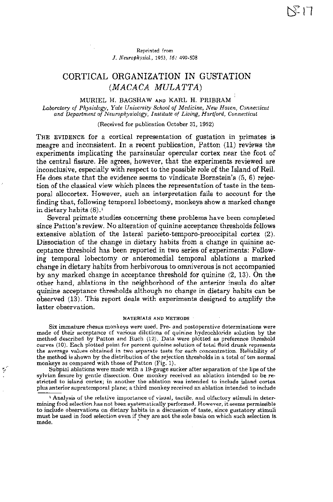### Reprinted from J. *Neurophysiol.,* 1953, 16: 499-508

# CORTICAL ORGANIZATION IN GUSTATION (MACACA MULATTA)

## MURIEL H. BAGSHAW AND KARL H. PRIBRAM

*Laboratory of Physiology, Yale University School of Medicine, New Haven, Connecticut and Department of Neurophysiology, Institute of Living, Hartford, Connecticut*

### (Received for publication October 31, 1952)

THE EVIDENCE for a cortical representation of gustation in primates is meagre and inconsistent. In a recent publication, Patton (11) reviews the experiments implicating the parainsular opercular cortex near the foot of the central fissure. He agrees, however, that the experiments reviewed are inconclusive, especially with respect to the possible role of the Island of Reil. He does state that the evidence seems to vindicate Bornstein's (5, 6) rejection of the classical view which places the representation of taste in the temporal allocortex. However, such an interpretation fails to account for the finding that, following temporal lobectomy, monkeys show a marked change in dietary habits  $(8).1$ 

Several primate studies concerning these problems have been completed since Patton's review. No alteration of quinine acceptance thresholds follows extensive ablation of the lateral parieto-temporo-preoccipital cortex (2). Dissociation of the change in dietary habits from a change in quinine acceptance threshold has been reported in two series of experiments: Following temporal lobectomy or anteromedial temporal ablations a marked change in dietary habits from herbivorous to omniverous is not accompanied by any marked change in acceptance threshold for quinine (2, 13). On the other hand, ablations in the neighborhood of the anterior insula do alter quinine acceptance thresholds although no change in dietary habits can be observed (13). This report deals with experiments designed to amplify the latter observation.

#### MATERIALS AND METHODS

Six immature rhesus monkeys were used. Pre- and postoperative determinations were made of their acceptance of various dilutions of quinine hydrochloride solution by the method described by Patton and Ruch (12). Data were plotted as preference threshold curves (10). Each plotted point for percent quinine solution of total fluid drunk represents the average values obtained in two separate tests for each concentration. Reliability of the method is shown by the distribution of the rejection thresholds in a total of ten normal monkeys as compared with those of Patton (Fig. 1).

Subpial ablations were made with a 19-gauge sucker after separation of the lips of the sylvian fissure by gentle dissection. One monkey received an ablation intended to be restricted to island cortex; in another the ablation was intended to include island cortex plus anteriorsupratemporal plane; a third monkey received an ablation intended to include

V

<sup>1</sup> Analysis of the relative importance of visual, tactile, and olfactory stimuli in determining food selection has not been systematically performed. However, it seems permissible to include observations on dietary habits in a discussion of taste, since gustatory stimuli must be used in food selection even if they are not the sole basis on which such selection is.<br>made.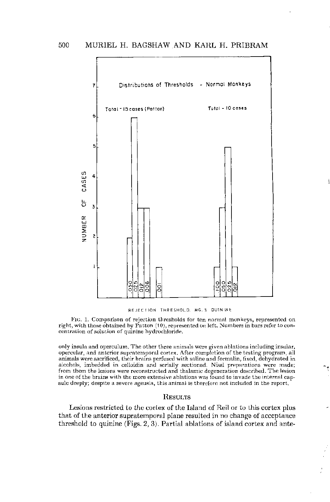

#### REJECTION THRESHOLD. MG. % QUININE

FIG. 1. Comparison of rejection thresholds for ten normal monkeys, represented on right, with those obtained by Patton (10), represented on left. Numbers in bars refer to concentration of solution of quinine hydrochloride.

only insula and operculum. The other three animals were given ablations including insular, opercular, and anterior supratemporal cortex. After completion of the testing program, all animals were sacrificed, their brains perfused with saline and formalin, fixed, dehydrated in alcohols, imbedded in celloidin and serially sectioned. Nissl preparations were made; from them the lesions were reconstructed and thalamic degeneration described. The lesion in one of the brains with the more extensive ablations was found to invade the internal capsule deeply; despite a severe ageusia, this animal is therefore not included in the report.

### RESULTS

Lesions restricted to the cortex of the Island of Rei! or to this cortex plus that of the anterior supratemporal plane resulted in no change of acceptance threshold to quinine (Figs. 2, 3). Partial ablations of island cortex and ante-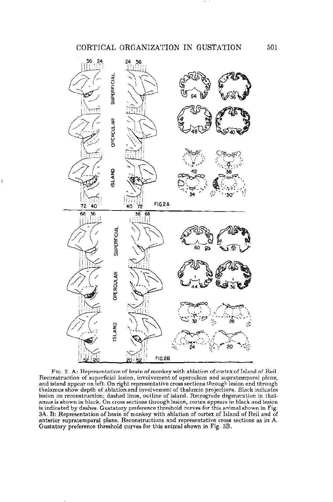

 $\mathbf{1}$ 

FIG. 2. A: Representation of brain of monkey with ablation of cortex of Island of Rei!. Reconstruction of superficial lesion, involvement of operculum and supratemporal plane, and island appear on left. On right representative cross sections through lesion and through thalamus show depth of ablation and involvement of thalamic projections. Black indicates lesion on reconstruction; dashed lines, outline of island. Retrograde degeneration in thalamus is shown in black. On cross sections through lesion, cortex appears in black and lesion is indicated by dashes. Gustatory preference threshold curves for this animal shown in Fig. 3A. B: Representation of brain of monkey with ablation of cortex of Island of Rei! and of anterior supratemporal plane. Reconstructions and representative cross sections as in A. Gustatory preference threshold curves for this animal shown in Fig. 3B.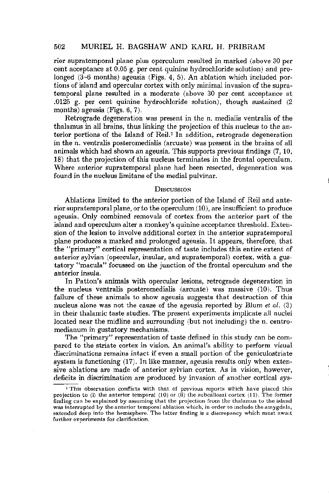# 502 MURIEL H. BAGSHAW AND KARL H. PRIBRAM

rior supratemporal plane plus operculum resulted in marked (above 30 per cent acceptance at 0.05 g. per cent quinine hydrochloride solution) and prolonged (3-6 months) ageusia (Figs. 4, 5). An ablation which included portions of island and opercular cortex with only minimal invasion of the supratemporal plane resulted in a moderate (above 30 per cent acceptance at .0125 g. per cent quinine hydrochloride solution), though sustained (2 months) ageusia (Figs. 6, 7).

Retrograde degeneration was present in the n. medialis ventralis of the thalamus in all brains, thus linking the projection of this nucleus to the anterior portions of the Island of Reil.<sup>2</sup> In addition, retrograde degeneration in the n. ventralis posteromedialis (arcuate) was present in the brains of all animals which had shown an ageusia. This supports previous findings (7, 10, 18) that the projection of this nucleus terminates in the frontal operculum. Where anterior supratemporal plane had been resected, degeneration was found in the nucleus limitans of the medial pulvinar.

# **DISCUSSION**

Ablations limited to the anterior portion of the Island of Reil and anterior supratemporal plane, or to the operculum (10), are insufficient to produce ageusia. Only combined removals of cortex from the anterior part of the island and operculum alter a monkey's quinine acceptance threshold. Extension of the lesion to involve additional cortex in the anterior supratemporal plane produces a marked and prolonged ageusia. It appears, therefore, that the "primary" cortical representation of taste includes this entire extent of anterior sylvian (opercular, insular, and supratemporal) cortex, with a gustatory "macula" focussed on the junction of the frontal operculum and the anterior insula.

In Patton's animals with opercular lesions, retrograde degeneration in the nucleus ventralis posteromedialis (arcuate) was massive (10). Thus failure of these animals to show ageusia suggests that destruction of this nucleus alone was not the cause of the ageusia reported by Blum et  $al.$  (3) in their thalamic taste studies. The present experiments implicate all nuclei located near the midline and surrounding (but not including) the n. centromedianum in gustatory mechanisms.

The "primary" representation of taste defined in this study can be compared to the striate cortex in vision. An animal's ability to perform visual discriminations remains intact if even a small portion of the geniculostriate system is functioning (17). In like manner, ageusia results only when extensive ablations are made of anterior sylvian cortex. As in vision, however, deficits in discrimination are produced by invasion of another cortical sys-

<sup>&</sup>lt;sup>2</sup> This observation conflicts with that of previous reports which have placed this projection to (i) the anterior temporal (10) or (ii) the subcallosal cortex (11). The former finding can be explained by assuming that the projection from the thalamus to the island was interrupted by the anterior temporal ablation which, in order to include the amygdala, extended deep into the hemisphere. The latter finding is a discrepancy which must await further experiments for clarification.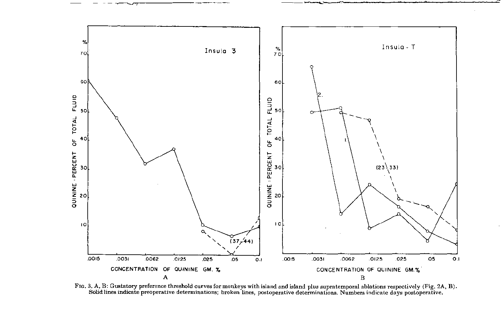

---~- ~~.----------- ----~~ <sup>Q</sup> '-

FIG. 3. A, B: Gustatory preference threshold curves for monkeys with island and island plus supratemporal ablations respectively (Fig. 2A, B). Solid lines indicate preoperative determinations; broken lines, postoperative determinations. Numbers indicate days postoperative.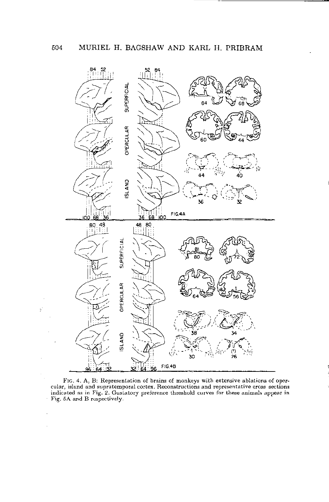ķ



FIG. 4. A, B: Representation of brains of monkeys with extensive ablations of opercular, island and supratemporal cortex. Reconstructions and representative cross sections indicated as in Fig. 2. Gustatory preference threshold curves for these animals appear in Fig. 5A and B respectively.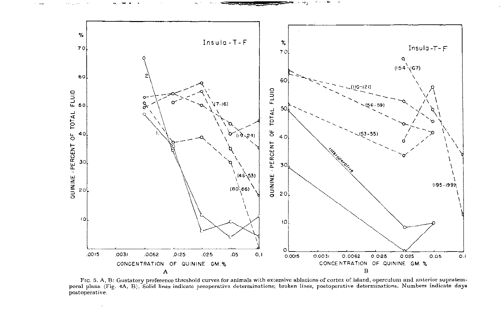

**...... ---".** ~""4A <sup>3</sup> ~,- ," ... (".~

 $\mathcal{L}_{\mathcal{A}}$ 

FIG. 5. A, B: Gustatory preference threshold curves for animals with extensive ablations of cortex of island, operculum and anterior supratemporal plane (Fig. 4A, B). Solid lines indicate preoperative determinations; broken lines, postoperative determinations. Numbers indicate days postoperative.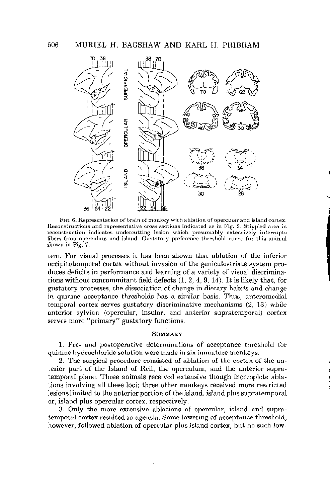

FIG. 6. Representation of brain of monkey with ablation of opercular and island cortex. Reconstructions and representative cross sections indicated as in Fig. 2. Stippled area in reconstruction indicates undercutting lesion which presumably extensively interrupts fibers from operculum and island. Gustatory preference threshold curve for this animal shown in Fig. 7.

tern. For visual processes it has been shown that ablation of the inferior occipitotemporal cortex without invasion of the geniculostriate system produces deficits in performance and learning of a variety of visual discriminations without concommitant field defects  $(1, 2, 4, 9, 14)$ . It is likely that, for gustatory processes, the dissociation of change in dietary habits and change in quinine acceptance thresholds has a similar basis. Thus, anteromedial temporal cortex serves gustatory discriminative mechanisms (2, 13) while anterior sylvian (opercular, insular, and anterior supratemporal) cortex serves more "primary" gustatory functions.

### **SUMMARY**

1. Pre- and postoperative determinations of acceptance threshold for quinine hydrochloride solution were made in six immature monkeys.

2. The surgical procedure consisted of ablation of the cortex of the anterior part of the Island of Reil, the operculum, and the anterior supratemporal plane. Three animals received extensive though incomplete ablations involving all these loci; three other monkeys received more restricted lesions limited to the anterior portion of the island, island plus supratemporal or, island plus opercular cortex, respectively.

3. Only the more extensive ablations of opercular, island and supratemporal cortex resulted in ageusia. Some lowering of acceptance threshold, however, followed ablation of opercular plus island cortex, but no such low-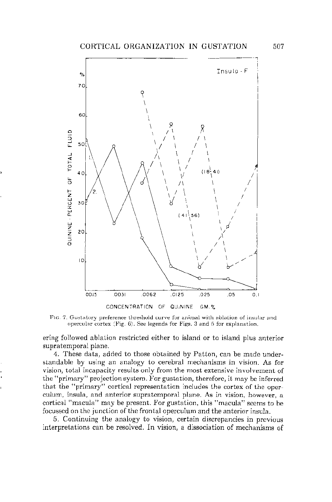

FIG. 7. Gustatory preference threshold curve for animal with ablation of insular and opercular cortex (Fig. 6). See legends for Figs. 3 and 5 for explanation.

ering followed ablation restricted either to island or to island plus anterior supratemporal plane.

4. These data, added to those obtained by Patton, can be made understandable by using an analogy to cerebral mechanisms in vision. As for vision, total incapacity results only from the most extensive involvement of the "primary" projection system. For gustation, therefore, it may be inferred that the "primary" cortical representation includes the cortex of the operculum, insula, and anterior supratemporal plane. As in vision, however, a cortical "macula" may be present. For gustation, this "macula" seems to be focussed on the junction of the frontal operculum and the anterior insula.

5. Continuing the analogy to vision, certain discrepancies in previous interpretations can be resolved. **In** vision, a dissociation of mechanisms of